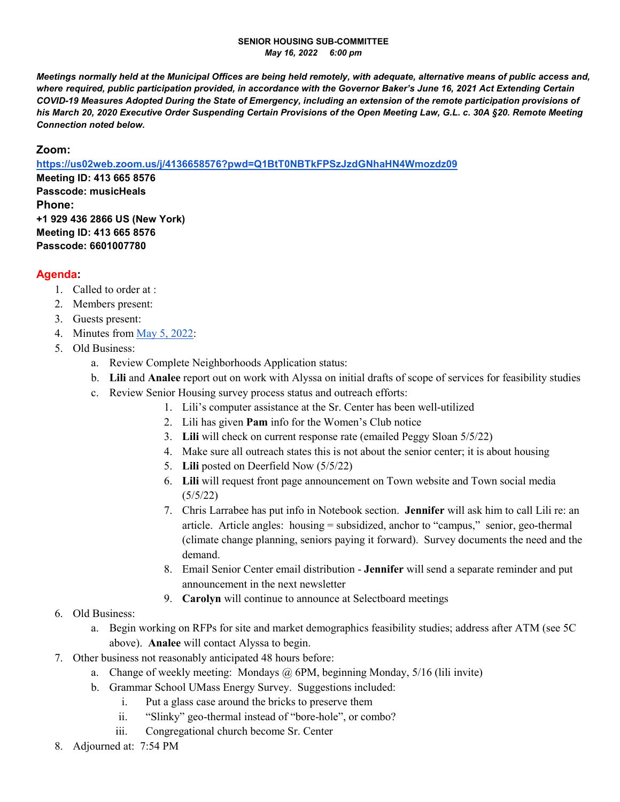## **SENIOR HOUSING SUB-COMMITTEE**  *May 16, 2022 6:00 pm*

*Meetings normally held at the Municipal Offices are being held remotely, with adequate, alternative means of public access and, where required, public participation provided, in accordance with the Governor Baker's June 16, 2021 Act Extending Certain COVID-19 Measures Adopted During the State of Emergency, including an extension of the remote participation provisions of his March 20, 2020 Executive Order Suspending Certain Provisions of the Open Meeting Law, G.L. c. 30A §20. Remote Meeting Connection noted below.* 

## **Zoom:**

**https://us02web.zoom.us/j/4136658576?pwd=Q1BtT0NBTkFPSzJzdGNhaHN4Wmozdz09**

**Meeting ID: 413 665 8576 Passcode: musicHeals Phone: +1 929 436 2866 US (New York) Meeting ID: 413 665 8576 Passcode: 6601007780** 

## **Agenda:**

- 1. Called to order at :
- 2. Members present:
- 3. Guests present:
- 4. Minutes from May 5, 2022:
- 5. Old Business:
	- a. Review Complete Neighborhoods Application status:
	- b. **Lili** and **Analee** report out on work with Alyssa on initial drafts of scope of services for feasibility studies
	- c. Review Senior Housing survey process status and outreach efforts:
		- 1. Lili's computer assistance at the Sr. Center has been well-utilized
		- 2. Lili has given **Pam** info for the Women's Club notice
		- 3. **Lili** will check on current response rate (emailed Peggy Sloan 5/5/22)
		- 4. Make sure all outreach states this is not about the senior center; it is about housing
		- 5. **Lili** posted on Deerfield Now (5/5/22)
		- 6. **Lili** will request front page announcement on Town website and Town social media (5/5/22)
		- 7. Chris Larrabee has put info in Notebook section. **Jennifer** will ask him to call Lili re: an article. Article angles: housing = subsidized, anchor to "campus," senior, geo-thermal (climate change planning, seniors paying it forward). Survey documents the need and the demand.
		- 8. Email Senior Center email distribution **Jennifer** will send a separate reminder and put announcement in the next newsletter
		- 9. **Carolyn** will continue to announce at Selectboard meetings

## 6. Old Business:

- a. Begin working on RFPs for site and market demographics feasibility studies; address after ATM (see 5C above). **Analee** will contact Alyssa to begin.
- 7. Other business not reasonably anticipated 48 hours before:
	- a. Change of weekly meeting: Mondays  $\omega$  6PM, beginning Monday, 5/16 (lili invite)
	- b. Grammar School UMass Energy Survey. Suggestions included:
		- i. Put a glass case around the bricks to preserve them
		- ii. "Slinky" geo-thermal instead of "bore-hole", or combo?
		- iii. Congregational church become Sr. Center
- 8. Adjourned at: 7:54 PM